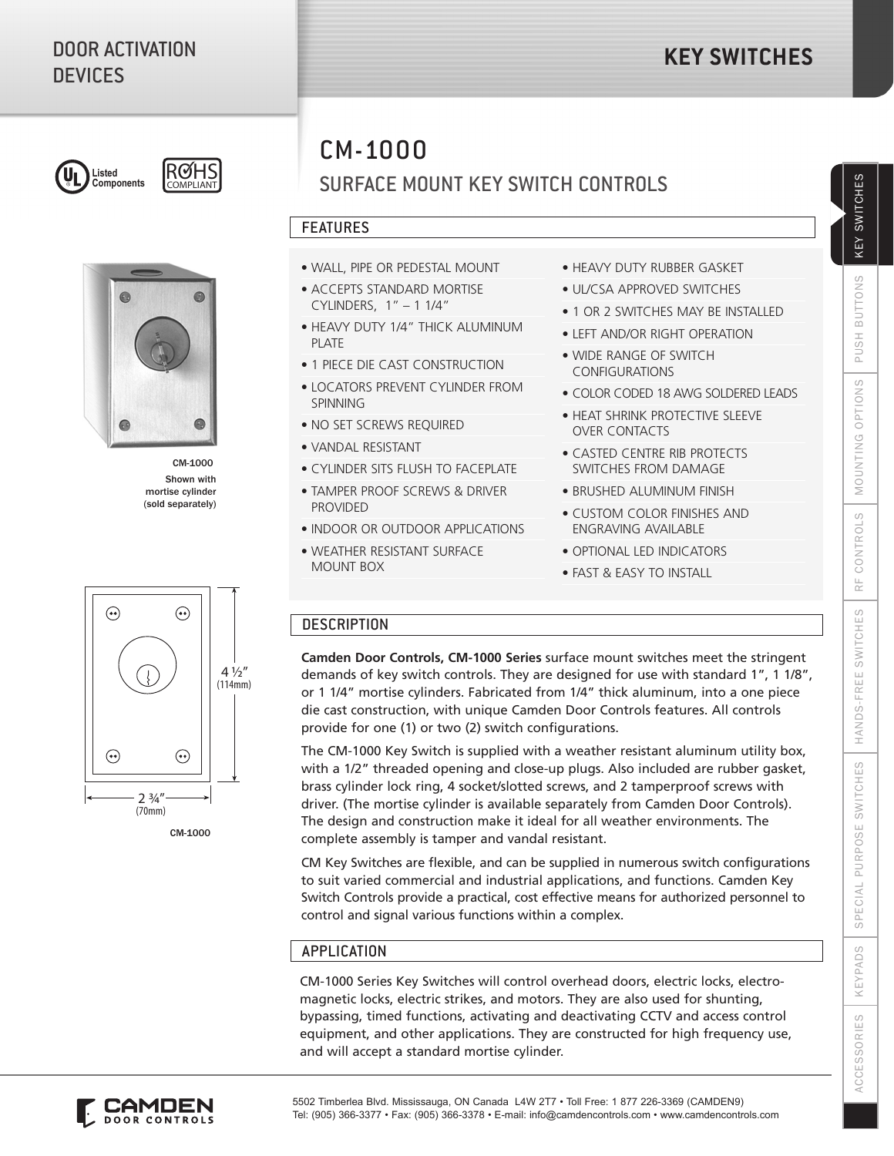



Shown with mortise cylinder (sold separately) CM-1000

# CM-1000

# SURFACE MOUNT KEY SWITCH CONTROLS

# FEATURES

- WALL, PIPE OR PEDESTAL MOUNT
- ACCEPTS STANDARD MORTISE CYLINDERS, 1" – 1 1/4"
- HEAVY DUTY 1/4" THICK ALUMINUM PI ATF
- 1 PIECE DIE CAST CONSTRUCTION
- LOCATORS PREVENT CYLINDER FROM **SPINNING**
- NO SET SCREWS REQUIRED
- VANDAL RESISTANT
- CYLINDER SITS FLUSH TO FACEPLATE
- TAMPER PROOF SCREWS & DRIVER PROVIDED
- INDOOR OR OUTDOOR APPLICATIONS
- WEATHER RESISTANT SURFACE MOUNT BOX
- HEAVY DUTY RUBBER GASKET
- UL/CSA APPROVED SWITCHES
- 1 OR 2 SWITCHES MAY BE INSTALLED
- LEFT AND/OR RIGHT OPERATION
- WIDE RANGE OF SWITCH CONFIGURATIONS
- COLOR CODED 18 AWG SOLDERED LEADS
- HEAT SHRINK PROTECTIVE SLEEVE OVER CONTACTS
- CASTED CENTRE RIB PROTECTS SWITCHES FROM DAMAGE
- BRUSHED ALUMINUM FINISH
- CUSTOM COLOR FINISHES AND ENGRAVING AVAILABLE
- OPTIONAL LED INDICATORS
- FAST & EASY TO INSTALL

## **DESCRIPTION**

**Camden Door Controls, CM-1000 Series** surface mount switches meet the stringent demands of key switch controls. They are designed for use with standard 1", 1 1/8", or 1 1/4" mortise cylinders. Fabricated from 1/4" thick aluminum, into a one piece die cast construction, with unique Camden Door Controls features. All controls provide for one (1) or two (2) switch configurations.

The CM-1000 Key Switch is supplied with a weather resistant aluminum utility box, with a 1/2" threaded opening and close-up plugs. Also included are rubber gasket, brass cylinder lock ring, 4 socket/slotted screws, and 2 tamperproof screws with driver. (The mortise cylinder is available separately from Camden Door Controls). The design and construction make it ideal for all weather environments. The complete assembly is tamper and vandal resistant.

CM Key Switches are flexible, and can be supplied in numerous switch configurations to suit varied commercial and industrial applications, and functions. Camden Key Switch Controls provide a practical, cost effective means for authorized personnel to control and signal various functions within a complex.

## APPLICATION

CM-1000 Series Key Switches will control overhead doors, electric locks, electromagnetic locks, electric strikes, and motors. They are also used for shunting, bypassing, timed functions, activating and deactivating CCTV and access control equipment, and other applications. They are constructed for high frequency use, and will accept a standard mortise cylinder.



CM-1000



**ACCESSORIES** 

KEY SWITCHES